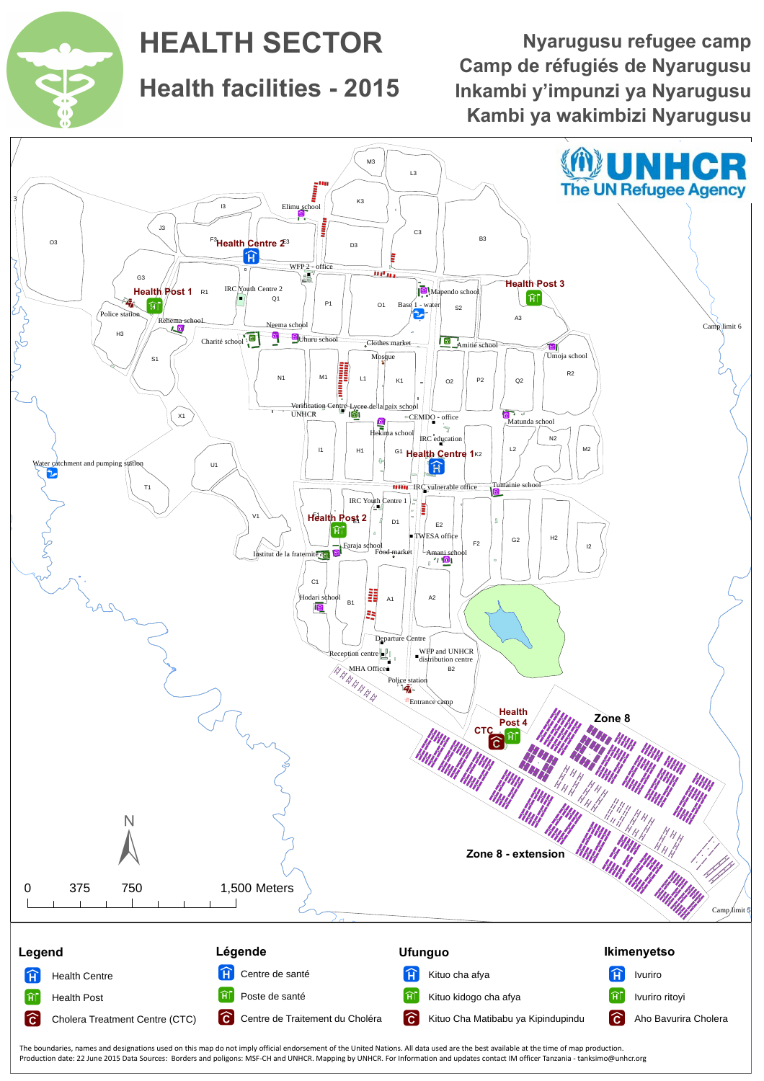The boundaries, names and designations used on this map do not imply official endorsement of the United Nations. All data used are the best available at the time of map production. Production date: 22 June 2015 Data Sources: Borders and poligons: MSF-CH and UNHCR. Mapping by UNHCR. For Information and updates contact IM officer Tanzania - tanksimo@unhcr.org



**Health facilities - 2015**



# **HEALTH SECTOR**

**Camp de réfugiés de Nyarugusu Kambi ya wakimbizi Nyarugusu Inkambi y'impunzi ya Nyarugusu Nyarugusu refugee camp**